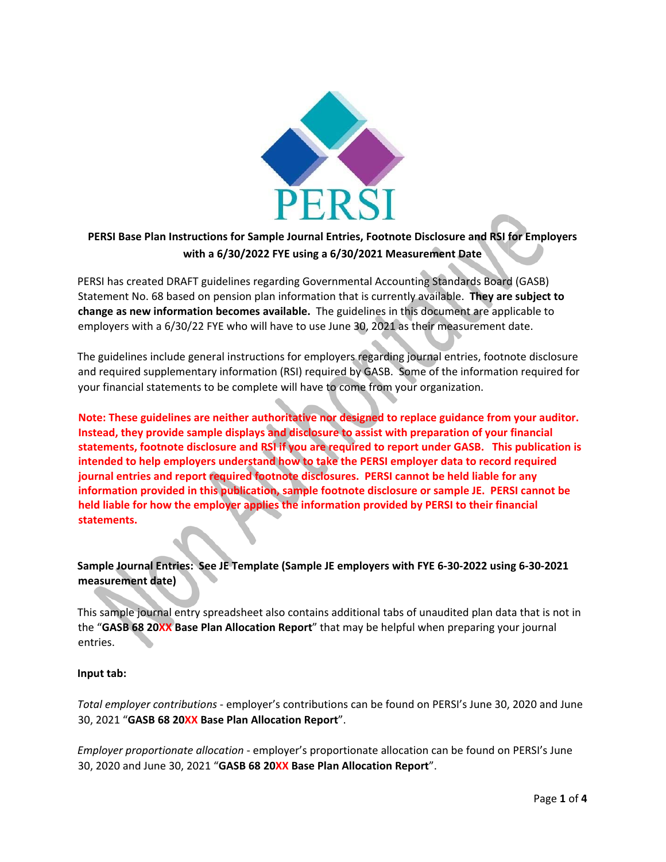

# **PERSI Base Plan Instructions for Sample Journal Entries, Footnote Disclosure and RSI for Employers with a 6/30/2022 FYE using a 6/30/2021 Measurement Date**

PERSI has created DRAFT guidelines regarding Governmental Accounting Standards Board (GASB) Statement No. 68 based on pension plan information that is currently available. **They are subject to change as new information becomes available.**  The guidelines in this document are applicable to employers with a 6/30/22 FYE who will have to use June 30, 2021 as their measurement date.

The guidelines include general instructions for employers regarding journal entries, footnote disclosure and required supplementary information (RSI) required by GASB. Some of the information required for your financial statements to be complete will have to come from your organization.

**Note: These guidelines are neither authoritative nor designed to replace guidance from your auditor. Instead, they provide sample displays and disclosure to assist with preparation of your financial statements, footnote disclosure and RSI if you are required to report under GASB. This publication is intended to help employers understand how to take the PERSI employer data to record required journal entries and report required footnote disclosures. PERSI cannot be held liable for any information provided in this publication, sample footnote disclosure or sample JE. PERSI cannot be held liable for how the employer applies the information provided by PERSI to their financial statements.** 

## **Sample Journal Entries: See JE Template (Sample JE employers with FYE 6‐30‐2022 using 6‐30‐2021 measurement date)**

This sample journal entry spreadsheet also contains additional tabs of unaudited plan data that is not in the "**GASB 68 20XX Base Plan Allocation Report**" that may be helpful when preparing your journal entries.

#### **Input tab:**

*Total employer contributions* ‐ employer's contributions can be found on PERSI's June 30, 2020 and June 30, 2021 "**GASB 68 20XX Base Plan Allocation Report**".

*Employer proportionate allocation* ‐ employer's proportionate allocation can be found on PERSI's June 30, 2020 and June 30, 2021 "**GASB 68 20XX Base Plan Allocation Report**".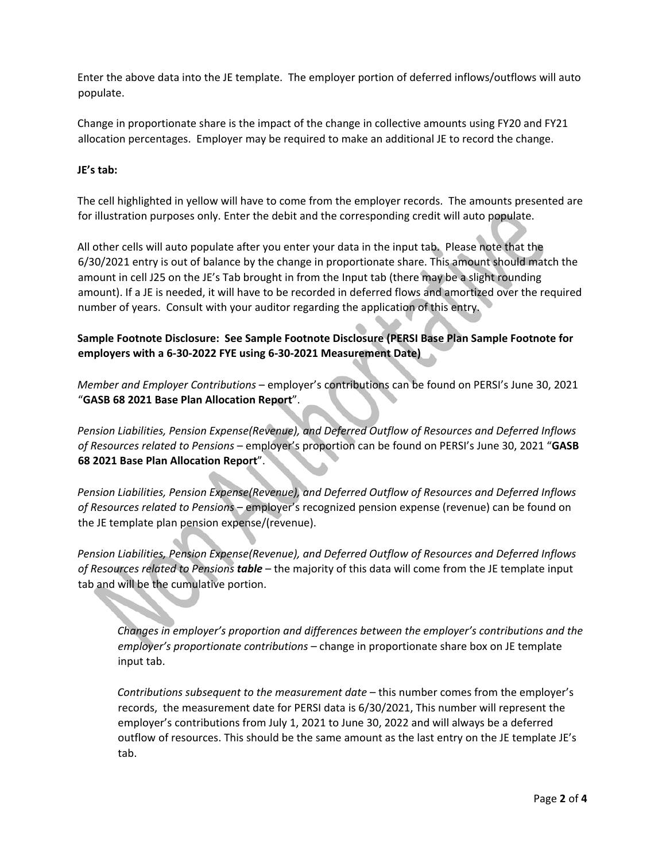Enter the above data into the JE template. The employer portion of deferred inflows/outflows will auto populate.

Change in proportionate share is the impact of the change in collective amounts using FY20 and FY21 allocation percentages. Employer may be required to make an additional JE to record the change.

### **JE's tab:**

۹

The cell highlighted in yellow will have to come from the employer records. The amounts presented are for illustration purposes only. Enter the debit and the corresponding credit will auto populate.

All other cells will auto populate after you enter your data in the input tab. Please note that the 6/30/2021 entry is out of balance by the change in proportionate share. This amount should match the amount in cell J25 on the JE's Tab brought in from the Input tab (there may be a slight rounding amount). If a JE is needed, it will have to be recorded in deferred flows and amortized over the required number of years. Consult with your auditor regarding the application of this entry.

**Sample Footnote Disclosure: See Sample Footnote Disclosure (PERSI Base Plan Sample Footnote for employers with a 6‐30‐2022 FYE using 6‐30‐2021 Measurement Date)** 

*Member and Employer Contributions* – employer's contributions can be found on PERSI's June 30, 2021 "**GASB 68 2021 Base Plan Allocation Report**".

*Pension Liabilities, Pension Expense(Revenue), and Deferred Outflow of Resources and Deferred Inflows of Resources related to Pensions* – employer's proportion can be found on PERSI's June 30, 2021 "**GASB 68 2021 Base Plan Allocation Report**".

*Pension Liabilities, Pension Expense(Revenue), and Deferred Outflow of Resources and Deferred Inflows of Resources related to Pensions* – employer's recognized pension expense (revenue) can be found on the JE template plan pension expense/(revenue).

*Pension Liabilities, Pension Expense(Revenue), and Deferred Outflow of Resources and Deferred Inflows of Resources related to Pensions table* – the majority of this data will come from the JE template input tab and will be the cumulative portion.

*Changes in employer's proportion and differences between the employer's contributions and the employer's proportionate contributions –* change in proportionate share box on JE template input tab.

*Contributions subsequent to the measurement date* – this number comes from the employer's records, the measurement date for PERSI data is 6/30/2021, This number will represent the employer's contributions from July 1, 2021 to June 30, 2022 and will always be a deferred outflow of resources. This should be the same amount as the last entry on the JE template JE's tab.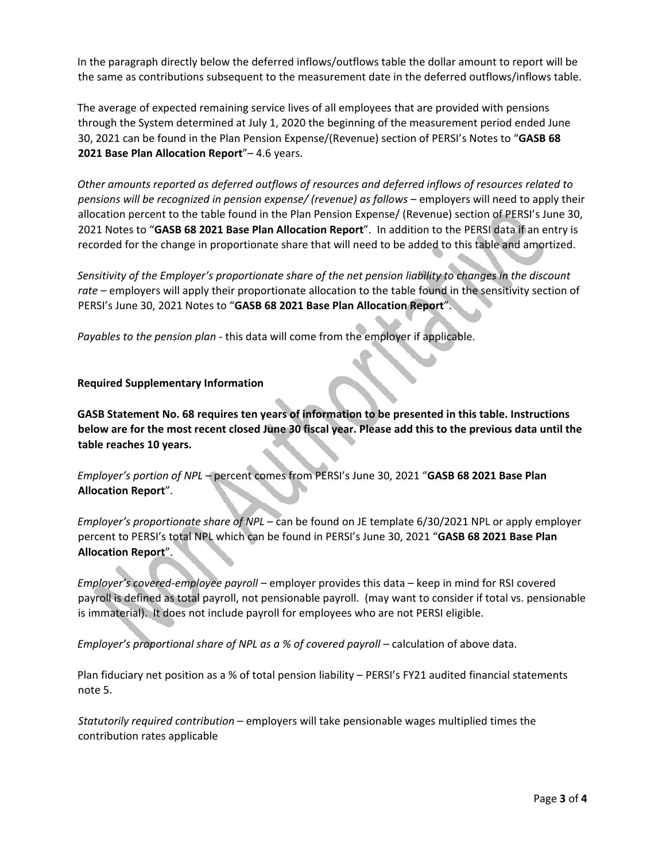In the paragraph directly below the deferred inflows/outflows table the dollar amount to report will be the same as contributions subsequent to the measurement date in the deferred outflows/inflows table.

The average of expected remaining service lives of all employees that are provided with pensions through the System determined at July 1, 2020 the beginning of the measurement period ended June 30, 2021 can be found in the Plan Pension Expense/(Revenue) section of PERSI's Notes to "**GASB 68 2021 Base Plan Allocation Report**"– 4.6 years.

*Other amounts reported as deferred outflows of resources and deferred inflows of resources related to pensions will be recognized in pension expense/ (revenue) as follows* – employers will need to apply their allocation percent to the table found in the Plan Pension Expense/ (Revenue) section of PERSI's June 30, 2021 Notes to "**GASB 68 2021 Base Plan Allocation Report**". In addition to the PERSI data if an entry is recorded for the change in proportionate share that will need to be added to this table and amortized.

*Sensitivity of the Employer's proportionate share of the net pension liability to changes in the discount rate* – employers will apply their proportionate allocation to the table found in the sensitivity section of PERSI's June 30, 2021 Notes to "**GASB 68 2021 Base Plan Allocation Report**".

*Payables to the pension plan* ‐ this data will come from the employer if applicable.

#### **Required Supplementary Information**

**GASB Statement No. 68 requires ten years of information to be presented in this table. Instructions below are for the most recent closed June 30 fiscal year. Please add this to the previous data until the table reaches 10 years.**

*Employer's portion of NPL* – percent comes from PERSI's June 30, 2021 "**GASB 68 2021 Base Plan Allocation Report**".

*Employer's proportionate share of NPL* – can be found on JE template 6/30/2021 NPL or apply employer percent to PERSI's total NPL which can be found in PERSI's June 30, 2021 "**GASB 68 2021 Base Plan Allocation Report**".

*Employer's covered‐employee payroll* – employer provides this data – keep in mind for RSI covered payroll is defined as total payroll, not pensionable payroll. (may want to consider if total vs. pensionable is immaterial). It does not include payroll for employees who are not PERSI eligible.

*Employer's proportional share of NPL as a % of covered payroll – calculation of above data.* 

Plan fiduciary net position as a % of total pension liability – PERSI's FY21 audited financial statements note 5.

*Statutorily required contribution* – employers will take pensionable wages multiplied times the contribution rates applicable